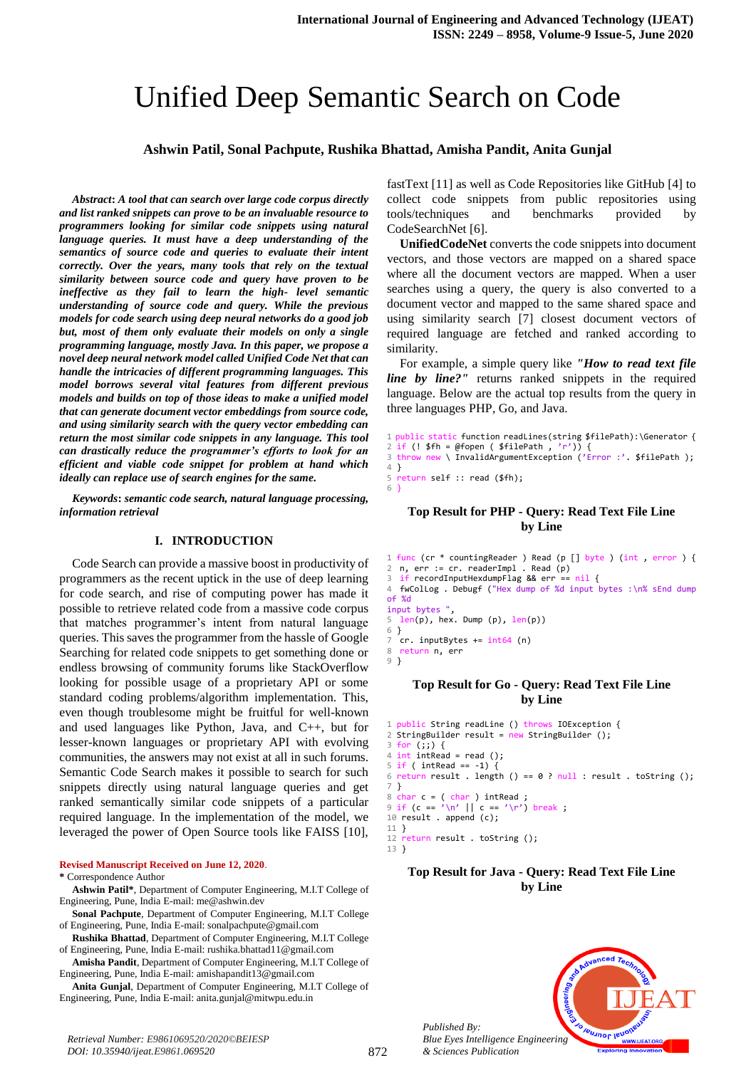# Unified Deep Semantic Search on Code

### **Ashwin Patil, Sonal Pachpute, Rushika Bhattad, Amisha Pandit, Anita Gunjal**

*Abstract***:** *A tool that can search over large code corpus directly and list ranked snippets can prove to be an invaluable resource to programmers looking for similar code snippets using natural language queries. It must have a deep understanding of the semantics of source code and queries to evaluate their intent correctly. Over the years, many tools that rely on the textual similarity between source code and query have proven to be ineffective as they fail to learn the high- level semantic understanding of source code and query. While the previous models for code search using deep neural networks do a good job but, most of them only evaluate their models on only a single programming language, mostly Java. In this paper, we propose a novel deep neural network model called Unified Code Net that can handle the intricacies of different programming languages. This model borrows several vital features from different previous models and builds on top of those ideas to make a unified model that can generate document vector embeddings from source code, and using similarity search with the query vector embedding can return the most similar code snippets in any language. This tool can drastically reduce the programmer's efforts to look for an efficient and viable code snippet for problem at hand which ideally can replace use of search engines for the same.*

*Keywords***:** *semantic code search, natural language processing, information retrieval*

#### **I. INTRODUCTION**

Code Search can provide a massive boost in productivity of programmers as the recent uptick in the use of deep learning for code search, and rise of computing power has made it possible to retrieve related code from a massive code corpus that matches programmer's intent from natural language queries. This saves the programmer from the hassle of Google Searching for related code snippets to get something done or endless browsing of community forums like StackOverflow looking for possible usage of a proprietary API or some standard coding problems/algorithm implementation. This, even though troublesome might be fruitful for well-known and used languages like Python, Java, and C++, but for lesser-known languages or proprietary API with evolving communities, the answers may not exist at all in such forums. Semantic Code Search makes it possible to search for such snippets directly using natural language queries and get ranked semantically similar code snippets of a particular required language. In the implementation of the model, we leveraged the power of Open Source tools like FAISS [10],

#### **Revised Manuscript Received on June 12, 2020**.

#### **\*** Correspondence Author

**Ashwin Patil\***, Department of Computer Engineering, M.I.T College of Engineering, Pune, India E-mail: me@ashwin.dev

**Sonal Pachpute**, Department of Computer Engineering, M.I.T College of Engineering, Pune, India E-mail: sonalpachpute@gmail.com

**Rushika Bhattad**, Department of Computer Engineering, M.I.T College of Engineering, Pune, India E-mail: rushika.bhattad11@gmail.com

**Amisha Pandit**, Department of Computer Engineering, M.I.T College of Engineering, Pune, India E-mail: amishapandit13@gmail.com

**Anita Gunjal**, Department of Computer Engineering, M.I.T College of Engineering, Pune, India E-mail: anita.gunjal@mitwpu.edu.in

fastText [11] as well as Code Repositories like GitHub [4] to collect code snippets from public repositories using tools/techniques and benchmarks provided by CodeSearchNet [6].

**UnifiedCodeNet** converts the code snippets into document vectors, and those vectors are mapped on a shared space where all the document vectors are mapped. When a user searches using a query, the query is also converted to a document vector and mapped to the same shared space and using similarity search [7] closest document vectors of required language are fetched and ranked according to similarity.

For example, a simple query like *"How to read text file line by line?"* returns ranked snippets in the required language. Below are the actual top results from the query in three languages PHP, Go, and Java.

```
1 public static function readLines(string $filePath):\Generator {
2 if (! $fh = @fopen ( $filePath , 'r')) {
3 throw new \ InvalidArgumentException ('Error :'. $filePath );
4 }
5 return self :: read ($fh);
\overline{6}
```
#### **Top Result for PHP - Query: Read Text File Line by Line**

1 func (cr \* countingReader ) Read (p [] byte ) (int , error ) { 2 n, err := cr. readerImpl . Read (p) 3 if recordInputHexdumpFlag && err == nil { 4 fwColLog . Debugf ("Hex dump of %d input bytes :\n% sEnd dump of %d input bytes  $"$ ,<br>5 len(n), hex  $len(p)$ , hex. Dump (p),  $len(p)$ ) 6 }

7 cr. inputBytes += int64 (n)<br>8 return n, err

```
8 return n, err
```
9 }

#### **Top Result for Go - Query: Read Text File Line by Line**

```
1 public String readLine () throws IOException {
2 StringBuilder result = new StringBuilder ();
3 for (;;) {
4 int intRead = read ();<br>5 if ( intRead == -1) {
5 if ( intRead == -1) {<br>6 return result . lengt
6 return result . length () == 0 ? null : result . toString ();
7 }
  char c = (char ) intRead9 if (c == \sqrt{n'} || c == \sqrt{n'}) break ;
10 result . append (c);
11 }
12 return result . toString ();
```
#### 13 }

### **Top Result for Java - Query: Read Text File Line by Line**



*Published By:*

*& Sciences Publication*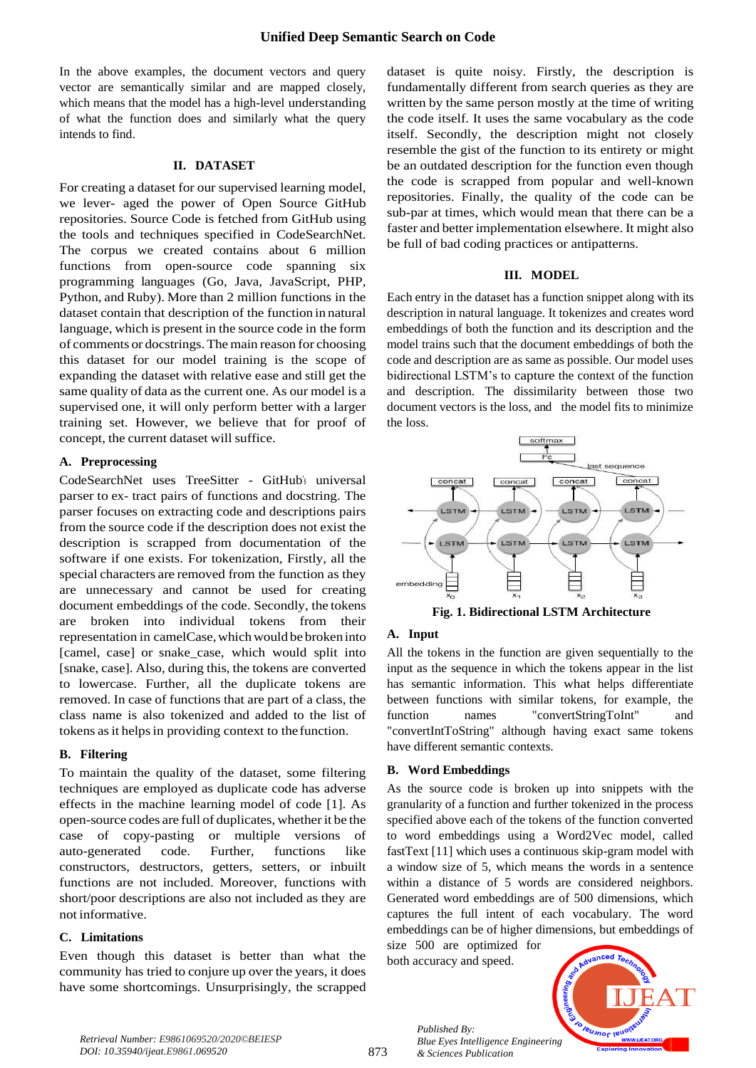In the above examples, the document vectors and query vector are semantically similar and are mapped closely, which means that the model has a high-level understanding of what the function does and similarly what the query intends to find.

### **II. DATASET**

For creating a dataset for our supervised learning model, we lever- aged the power of Open Source GitHub repositories. Source Code is fetched from GitHub using the tools and techniques specified in CodeSearchNet. The corpus we created contains about 6 million functions from open-source code spanning six programming languages (Go, Java, JavaScript, PHP, Python, and Ruby). More than 2 million functions in the dataset contain that description of the function in natural language, which is present in the source code in the form of comments or docstrings.Themain reason for choosing this dataset for our model training is the scope of expanding the dataset with relative ease and still get the same quality of data as the current one. As our model is a supervised one, it will only perform better with a larger training set. However, we believe that for proof of concept, the current dataset will suffice.

### **A. Preprocessing**

CodeSearchNet uses TreeSitter - GitHub's universal parser to ex- tract pairs of functions and docstring. The parser focuses on extracting code and descriptions pairs from the source code if the description does not exist the description is scrapped from documentation of the software if one exists. For tokenization, Firstly, all the special characters are removed from the function as they are unnecessary and cannot be used for creating document embeddings of the code. Secondly, the tokens are broken into individual tokens from their representation in camelCase,whichwould be broken into [camel, case] or snake\_case, which would split into [snake, case]. Also, during this, the tokens are converted to lowercase. Further, all the duplicate tokens are removed. In case of functions that are part of a class, the class name is also tokenized and added to the list of tokens as it helps in providing context to the function.

### **B. Filtering**

To maintain the quality of the dataset, some filtering techniques are employed as duplicate code has adverse effects in the machine learning model of code [1]. As open-source codes are full of duplicates, whetherit be the case of copy-pasting or multiple versions of auto-generated code. Further, functions like constructors, destructors, getters, setters, or inbuilt functions are not included. Moreover, functions with short/poor descriptions are also not included as they are not informative.

### **C. Limitations**

Even though this dataset is better than what the community has tried to conjure up over the years, it does have some shortcomings. Unsurprisingly, the scrapped

dataset is quite noisy. Firstly, the description is fundamentally different from search queries as they are written by the same person mostly at the time of writing the code itself. It uses the same vocabulary as the code itself. Secondly, the description might not closely resemble the gist of the function to its entirety or might be an outdated description for the function even though the code is scrapped from popular and well-known repositories. Finally, the quality of the code can be sub-par at times, which would mean that there can be a faster and better implementation elsewhere. It might also be full of bad coding practices or antipatterns.

### **III. MODEL**

Each entry in the dataset has a function snippet along with its description in natural language. It tokenizes and creates word embeddings of both the function and its description and the model trains such that the document embeddings of both the code and description are as same as possible. Our model uses bidirectional LSTM's to capture the context of the function and description. The dissimilarity between those two document vectors is the loss, and the model fits to minimize the loss.





### **A. Input**

All the tokens in the function are given sequentially to the input as the sequence in which the tokens appear in the list has semantic information. This what helps differentiate between functions with similar tokens, for example, the function names "convertStringToInt" and "convertIntToString" although having exact same tokens have different semantic contexts.

### **B. Word Embeddings**

As the source code is broken up into snippets with the granularity of a function and further tokenized in the process specified above each of the tokens of the function converted to word embeddings using a Word2Vec model, called fastText [11] which uses a continuous skip-gram model with a window size of 5, which means the words in a sentence within a distance of 5 words are considered neighbors. Generated word embeddings are of 500 dimensions, which captures the full intent of each vocabulary. The word embeddings can be of higher dimensions, but embeddings of

size 500 are optimized for both accuracy and speed.

*& Sciences Publication* 

*Published By:*

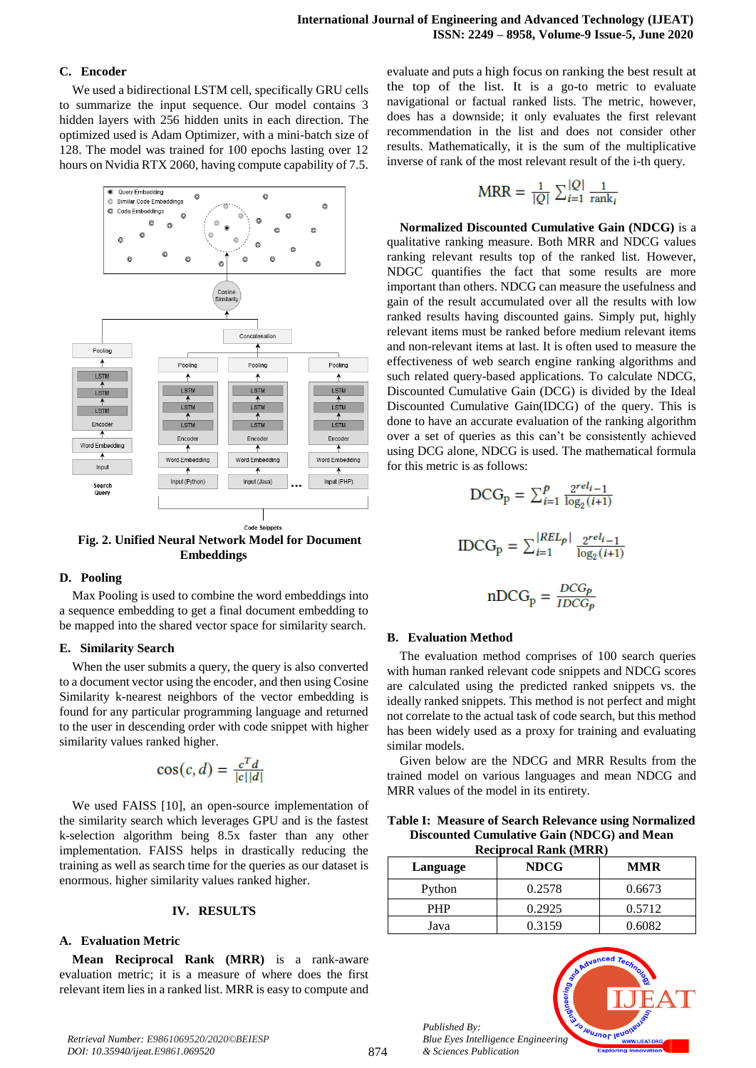### **C. Encoder**

We used a bidirectional LSTM cell, specifically GRU cells to summarize the input sequence. Our model contains 3 hidden layers with 256 hidden units in each direction. The optimized used is Adam Optimizer, with a mini-batch size of 128. The model was trained for 100 epochs lasting over 12 hours on Nvidia RTX 2060, having compute capability of 7.5.



**Fig. 2. Unified Neural Network Model for Document Embeddings**

### **D. Pooling**

Max Pooling is used to combine the word embeddings into a sequence embedding to get a final document embedding to be mapped into the shared vector space for similarity search.

#### **E. Similarity Search**

When the user submits a query, the query is also converted to a document vector using the encoder, and then using Cosine Similarity k-nearest neighbors of the vector embedding is found for any particular programming language and returned to the user in descending order with code snippet with higher similarity values ranked higher.

$$
\cos(c, d) = \frac{c^T d}{|c||d|}
$$

We used FAISS [10], an open-source implementation of the similarity search which leverages GPU and is the fastest k-selection algorithm being 8.5x faster than any other implementation. FAISS helps in drastically reducing the training as well as search time for the queries as our dataset is enormous. higher similarity values ranked higher.

#### **IV. RESULTS**

### **A. Evaluation Metric**

**Mean Reciprocal Rank (MRR)** is a rank-aware evaluation metric; it is a measure of where does the first relevant item lies in a ranked list. MRR is easy to compute and evaluate and puts a high focus on ranking the best result at the top of the list. It is a go-to metric to evaluate navigational or factual ranked lists. The metric, however, does has a downside; it only evaluates the first relevant recommendation in the list and does not consider other results. Mathematically, it is the sum of the multiplicative inverse of rank of the most relevant result of the i-th query.

$$
MRR = \frac{1}{|Q|} \sum_{i=1}^{|Q|} \frac{1}{\text{rank}_i}
$$

**Normalized Discounted Cumulative Gain (NDCG)** is a qualitative ranking measure. Both MRR and NDCG values ranking relevant results top of the ranked list. However, NDGC quantifies the fact that some results are more important than others. NDCG can measure the usefulness and gain of the result accumulated over all the results with low ranked results having discounted gains. Simply put, highly relevant items must be ranked before medium relevant items and non-relevant items at last. It is often used to measure the effectiveness of web search engine ranking algorithms and such related query-based applications. To calculate NDCG, Discounted Cumulative Gain (DCG) is divided by the Ideal Discounted Cumulative Gain(IDCG) of the query. This is done to have an accurate evaluation of the ranking algorithm over a set of queries as this can't be consistently achieved using DCG alone, NDCG is used. The mathematical formula for this metric is as follows:

$$
DCG_p = \sum_{i=1}^{p} \frac{2^{rel_{i-1}}}{\log_2(i+1)}
$$

$$
IDCG_p = \sum_{i=1}^{|REL_p|} \frac{2^{rel_{i-1}}}{\log_2(i+1)}
$$

$$
nDCG_p = \frac{DCG_p}{IDCG_p}
$$

## **B. Evaluation Method**

The evaluation method comprises of 100 search queries with human ranked relevant code snippets and NDCG scores are calculated using the predicted ranked snippets vs. the ideally ranked snippets. This method is not perfect and might not correlate to the actual task of code search, but this method has been widely used as a proxy for training and evaluating similar models.

Given below are the NDCG and MRR Results from the trained model on various languages and mean NDCG and MRR values of the model in its entirety.

**Table I: Measure of Search Relevance using Normalized Discounted Cumulative Gain (NDCG) and Mean Reciprocal Rank (MRR)**

| 1001p1 0061 1061111 (1711010) |             |            |
|-------------------------------|-------------|------------|
| Language                      | <b>NDCG</b> | <b>MMR</b> |
| Python                        | 0.2578      | 0.6673     |
| <b>PHP</b>                    | 0.2925      | 0.5712     |
| Java                          | 0.3159      | 0.6082     |



*Retrieval Number: E9861069520/2020©BEIESP DOI: 10.35940/ijeat.E9861.069520*

*Published By:*

*& Sciences Publication*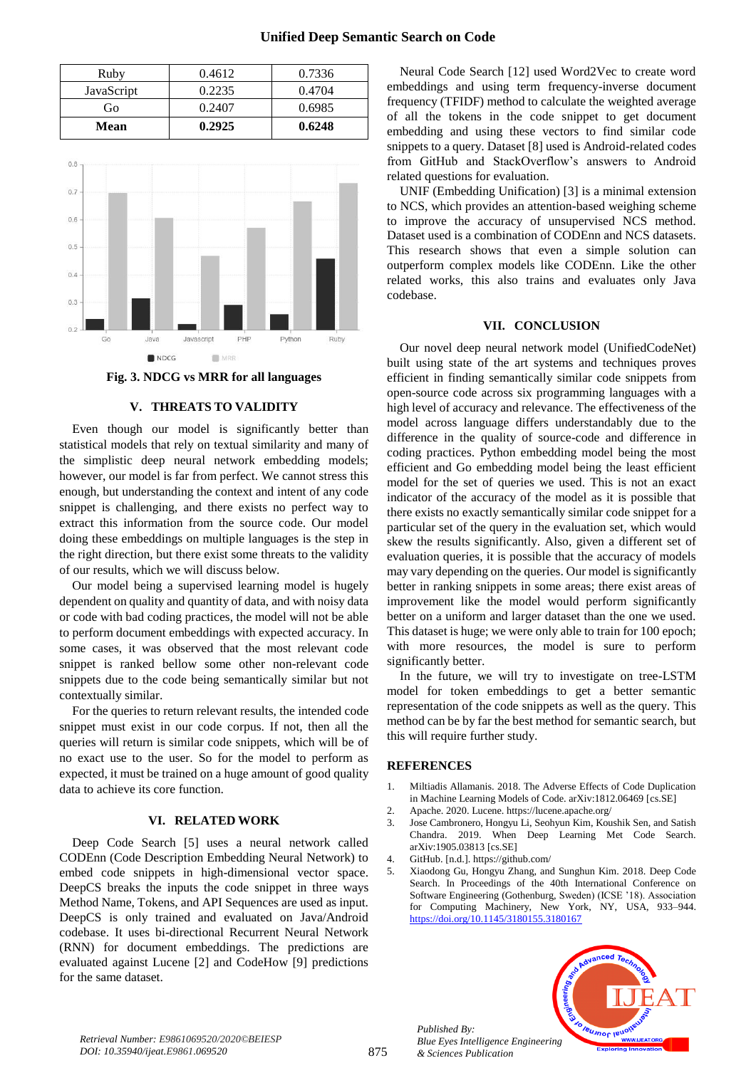| Ruby       | 0.4612 | 0.7336 |
|------------|--------|--------|
| JavaScript | 0.2235 | 0.4704 |
| Go         | 0.2407 | 0.6985 |
| Mean       | 0.2925 | 0.6248 |



**Fig. 3. NDCG vs MRR for all languages**

### **V. THREATS TO VALIDITY**

Even though our model is significantly better than statistical models that rely on textual similarity and many of the simplistic deep neural network embedding models; however, our model is far from perfect. We cannot stress this enough, but understanding the context and intent of any code snippet is challenging, and there exists no perfect way to extract this information from the source code. Our model doing these embeddings on multiple languages is the step in the right direction, but there exist some threats to the validity of our results, which we will discuss below.

Our model being a supervised learning model is hugely dependent on quality and quantity of data, and with noisy data or code with bad coding practices, the model will not be able to perform document embeddings with expected accuracy. In some cases, it was observed that the most relevant code snippet is ranked bellow some other non-relevant code snippets due to the code being semantically similar but not contextually similar.

For the queries to return relevant results, the intended code snippet must exist in our code corpus. If not, then all the queries will return is similar code snippets, which will be of no exact use to the user. So for the model to perform as expected, it must be trained on a huge amount of good quality data to achieve its core function.

#### **VI. RELATED WORK**

Deep Code Search [5] uses a neural network called CODEnn (Code Description Embedding Neural Network) to embed code snippets in high-dimensional vector space. DeepCS breaks the inputs the code snippet in three ways Method Name, Tokens, and API Sequences are used as input. DeepCS is only trained and evaluated on Java/Android codebase. It uses bi-directional Recurrent Neural Network (RNN) for document embeddings. The predictions are evaluated against Lucene [2] and CodeHow [9] predictions for the same dataset.

Neural Code Search [12] used Word2Vec to create word embeddings and using term frequency-inverse document frequency (TFIDF) method to calculate the weighted average of all the tokens in the code snippet to get document embedding and using these vectors to find similar code snippets to a query. Dataset [8] used is Android-related codes from GitHub and StackOverflow's answers to Android related questions for evaluation.

UNIF (Embedding Unification) [3] is a minimal extension to NCS, which provides an attention-based weighing scheme to improve the accuracy of unsupervised NCS method. Dataset used is a combination of CODEnn and NCS datasets. This research shows that even a simple solution can outperform complex models like CODEnn. Like the other related works, this also trains and evaluates only Java codebase.

#### **VII. CONCLUSION**

Our novel deep neural network model (UnifiedCodeNet) built using state of the art systems and techniques proves efficient in finding semantically similar code snippets from open-source code across six programming languages with a high level of accuracy and relevance. The effectiveness of the model across language differs understandably due to the difference in the quality of source-code and difference in coding practices. Python embedding model being the most efficient and Go embedding model being the least efficient model for the set of queries we used. This is not an exact indicator of the accuracy of the model as it is possible that there exists no exactly semantically similar code snippet for a particular set of the query in the evaluation set, which would skew the results significantly. Also, given a different set of evaluation queries, it is possible that the accuracy of models may vary depending on the queries. Our model is significantly better in ranking snippets in some areas; there exist areas of improvement like the model would perform significantly better on a uniform and larger dataset than the one we used. This dataset is huge; we were only able to train for 100 epoch; with more resources, the model is sure to perform significantly better.

In the future, we will try to investigate on tree-LSTM model for token embeddings to get a better semantic representation of the code snippets as well as the query. This method can be by far the best method for semantic search, but this will require further study.

#### **REFERENCES**

- 1. Miltiadis Allamanis. 2018. The Adverse Effects of Code Duplication in Machine Learning Models of Code. arXiv:1812.06469 [cs.SE]
- 2. Apache. 2020. Lucene. https://lucene.apache.org/
- 3. Jose Cambronero, Hongyu Li, Seohyun Kim, Koushik Sen, and Satish Chandra. 2019. When Deep Learning Met Code Search. arXiv:1905.03813 [cs.SE]
- 4. GitHub. [n.d.]. https://github.com/

*Published By:*

*& Sciences Publication* 

5. Xiaodong Gu, Hongyu Zhang, and Sunghun Kim. 2018. Deep Code Search. In Proceedings of the 40th International Conference on Software Engineering (Gothenburg, Sweden) (ICSE '18). Association for Computing Machinery, New York, NY, USA, 933–944. <https://doi.org/10.1145/3180155.3180167>



*Retrieval Number: E9861069520/2020©BEIESP DOI: 10.35940/ijeat.E9861.069520*